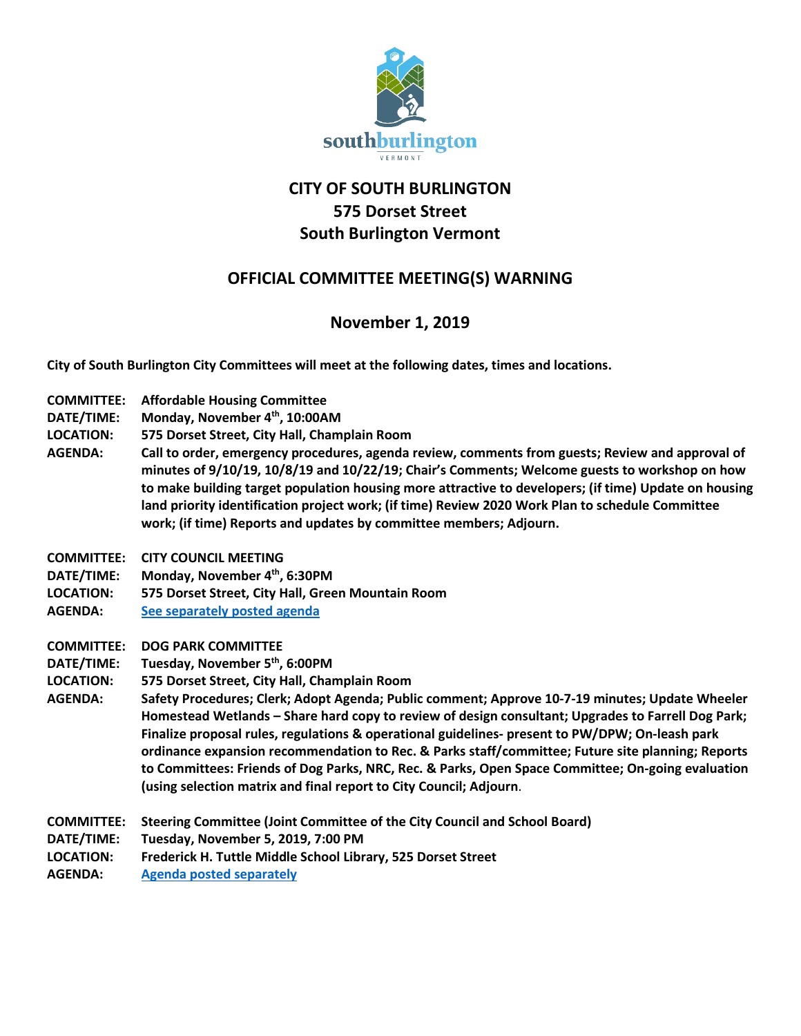

## **CITY OF SOUTH BURLINGTON 575 Dorset Street South Burlington Vermont**

## **OFFICIAL COMMITTEE MEETING(S) WARNING**

## **November 1, 2019**

**City of South Burlington City Committees will meet at the following dates, times and locations.** 

- **COMMITTEE: Affordable Housing Committee**
- **DATE/TIME: Monday, November 4th, 10:00AM**
- **LOCATION: 575 Dorset Street, City Hall, Champlain Room**
- **AGENDA: Call to order, emergency procedures, agenda review, comments from guests; Review and approval of minutes of 9/10/19, 10/8/19 and 10/22/19; Chair's Comments; Welcome guests to workshop on how to make building target population housing more attractive to developers; (if time) Update on housing land priority identification project work; (if time) Review 2020 Work Plan to schedule Committee work; (if time) Reports and updates by committee members; Adjourn.**
- **COMMITTEE: CITY COUNCIL MEETING**
- **DATE/TIME: Monday, November 4th, 6:30PM**
- **LOCATION: 575 Dorset Street, City Hall, Green Mountain Room**
- **AGENDA: [See separately posted agenda](http://cms6.revize.com/revize/southburlington/Agenda%20for%2011.4.19.pdf)**
- **COMMITTEE: DOG PARK COMMITTEE**
- **DATE/TIME: Tuesday, November 5th, 6:00PM**
- **LOCATION: 575 Dorset Street, City Hall, Champlain Room**
- **AGENDA: Safety Procedures; Clerk; Adopt Agenda; Public comment; Approve 10-7-19 minutes; Update Wheeler Homestead Wetlands – Share hard copy to review of design consultant; Upgrades to Farrell Dog Park; Finalize proposal rules, regulations & operational guidelines- present to PW/DPW; On-leash park ordinance expansion recommendation to Rec. & Parks staff/committee; Future site planning; Reports to Committees: Friends of Dog Parks, NRC, Rec. & Parks, Open Space Committee; On-going evaluation (using selection matrix and final report to City Council; Adjourn**.
- **COMMITTEE: Steering Committee (Joint Committee of the City Council and School Board)**
- **DATE/TIME: Tuesday, November 5, 2019, 7:00 PM**
- **LOCATION: Frederick H. Tuttle Middle School Library, 525 Dorset Street**
- **AGENDA: [Agenda posted separately](http://sbvt-records.info/WebLink/ElectronicFile.aspx?docid=73027&dbid=0&repo=sburl)**